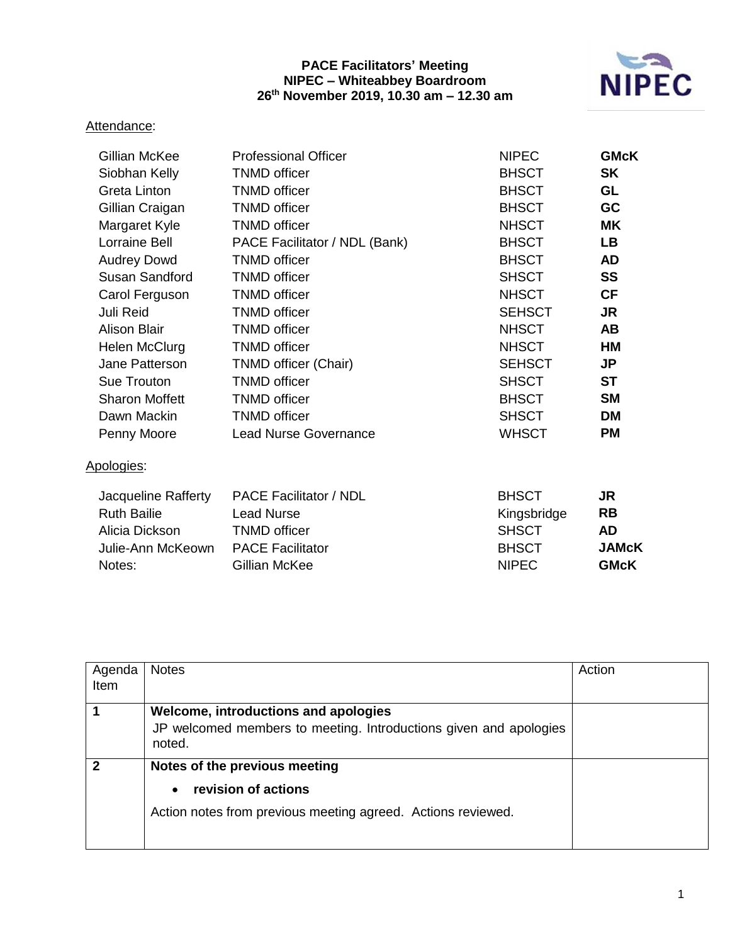## **PACE Facilitators' Meeting NIPEC – Whiteabbey Boardroom 26th November 2019, 10.30 am – 12.30 am**



## Attendance:

| Gillian McKee                                                                              | <b>Professional Officer</b>                                                                                           | <b>NIPEC</b>                                                                | <b>GMcK</b>                                                        |
|--------------------------------------------------------------------------------------------|-----------------------------------------------------------------------------------------------------------------------|-----------------------------------------------------------------------------|--------------------------------------------------------------------|
| Siobhan Kelly                                                                              | <b>TNMD</b> officer                                                                                                   | <b>BHSCT</b>                                                                | <b>SK</b>                                                          |
| Greta Linton                                                                               | <b>TNMD</b> officer                                                                                                   | <b>BHSCT</b>                                                                | GL                                                                 |
| Gillian Craigan                                                                            | <b>TNMD</b> officer                                                                                                   | <b>BHSCT</b>                                                                | <b>GC</b>                                                          |
| Margaret Kyle                                                                              | <b>TNMD</b> officer                                                                                                   | <b>NHSCT</b>                                                                | <b>MK</b>                                                          |
| Lorraine Bell                                                                              | PACE Facilitator / NDL (Bank)                                                                                         | <b>BHSCT</b>                                                                | <b>LB</b>                                                          |
| <b>Audrey Dowd</b>                                                                         | <b>TNMD</b> officer                                                                                                   | <b>BHSCT</b>                                                                | <b>AD</b>                                                          |
| Susan Sandford                                                                             | <b>TNMD</b> officer                                                                                                   | <b>SHSCT</b>                                                                | <b>SS</b>                                                          |
| Carol Ferguson                                                                             | <b>TNMD</b> officer                                                                                                   | <b>NHSCT</b>                                                                | <b>CF</b>                                                          |
| <b>Juli Reid</b>                                                                           | <b>TNMD</b> officer                                                                                                   | <b>SEHSCT</b>                                                               | <b>JR</b>                                                          |
| <b>Alison Blair</b>                                                                        | <b>TNMD</b> officer                                                                                                   | <b>NHSCT</b>                                                                | <b>AB</b>                                                          |
| Helen McClurg                                                                              | <b>TNMD</b> officer                                                                                                   | <b>NHSCT</b>                                                                | <b>HM</b>                                                          |
| Jane Patterson                                                                             | TNMD officer (Chair)                                                                                                  | <b>SEHSCT</b>                                                               | <b>JP</b>                                                          |
| Sue Trouton                                                                                | <b>TNMD</b> officer                                                                                                   | <b>SHSCT</b>                                                                | <b>ST</b>                                                          |
| <b>Sharon Moffett</b>                                                                      | <b>TNMD</b> officer                                                                                                   | <b>BHSCT</b>                                                                | <b>SM</b>                                                          |
| Dawn Mackin                                                                                | <b>TNMD</b> officer                                                                                                   | <b>SHSCT</b>                                                                | <b>DM</b>                                                          |
| Penny Moore                                                                                | <b>Lead Nurse Governance</b>                                                                                          | <b>WHSCT</b>                                                                | <b>PM</b>                                                          |
| Apologies:                                                                                 |                                                                                                                       |                                                                             |                                                                    |
| Jacqueline Rafferty<br><b>Ruth Bailie</b><br>Alicia Dickson<br>Julie-Ann McKeown<br>Notes: | <b>PACE Facilitator / NDL</b><br><b>Lead Nurse</b><br><b>TNMD</b> officer<br><b>PACE Facilitator</b><br>Gillian McKee | <b>BHSCT</b><br>Kingsbridge<br><b>SHSCT</b><br><b>BHSCT</b><br><b>NIPEC</b> | <b>JR</b><br><b>RB</b><br><b>AD</b><br><b>JAMcK</b><br><b>GMcK</b> |
|                                                                                            |                                                                                                                       |                                                                             |                                                                    |

| Agenda<br>Item | <b>Notes</b>                                                                                                                      | Action |
|----------------|-----------------------------------------------------------------------------------------------------------------------------------|--------|
|                | Welcome, introductions and apologies<br>JP welcomed members to meeting. Introductions given and apologies<br>noted.               |        |
| 2              | Notes of the previous meeting<br>revision of actions<br>$\bullet$<br>Action notes from previous meeting agreed. Actions reviewed. |        |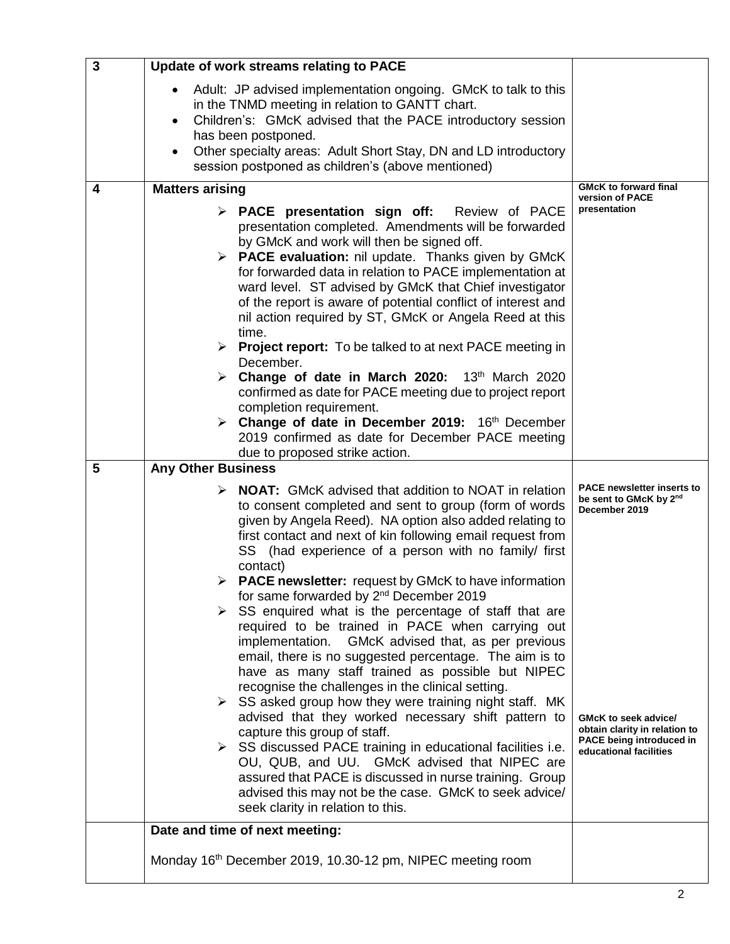| $\overline{\mathbf{3}}$ | Update of work streams relating to PACE                                                                                                                                                                                                                                                                                                                                                                                                                                                                                                                                                                                                                                                                                                                                                                                                                                                                                                                                                                                                                                                                                                                                                                                                                     |                                                                                                                                                                                                           |
|-------------------------|-------------------------------------------------------------------------------------------------------------------------------------------------------------------------------------------------------------------------------------------------------------------------------------------------------------------------------------------------------------------------------------------------------------------------------------------------------------------------------------------------------------------------------------------------------------------------------------------------------------------------------------------------------------------------------------------------------------------------------------------------------------------------------------------------------------------------------------------------------------------------------------------------------------------------------------------------------------------------------------------------------------------------------------------------------------------------------------------------------------------------------------------------------------------------------------------------------------------------------------------------------------|-----------------------------------------------------------------------------------------------------------------------------------------------------------------------------------------------------------|
|                         | Adult: JP advised implementation ongoing. GMcK to talk to this<br>in the TNMD meeting in relation to GANTT chart.<br>Children's: GMcK advised that the PACE introductory session<br>$\bullet$<br>has been postponed.<br>Other specialty areas: Adult Short Stay, DN and LD introductory<br>$\bullet$<br>session postponed as children's (above mentioned)                                                                                                                                                                                                                                                                                                                                                                                                                                                                                                                                                                                                                                                                                                                                                                                                                                                                                                   |                                                                                                                                                                                                           |
| 4                       | <b>Matters arising</b>                                                                                                                                                                                                                                                                                                                                                                                                                                                                                                                                                                                                                                                                                                                                                                                                                                                                                                                                                                                                                                                                                                                                                                                                                                      | <b>GMcK to forward final</b><br>version of PACE                                                                                                                                                           |
|                         | $\triangleright$ PACE presentation sign off:<br>Review of PACE<br>presentation completed. Amendments will be forwarded<br>by GMcK and work will then be signed off.<br>$\triangleright$ <b>PACE evaluation:</b> nil update. Thanks given by GMcK<br>for forwarded data in relation to PACE implementation at<br>ward level. ST advised by GMcK that Chief investigator<br>of the report is aware of potential conflict of interest and<br>nil action required by ST, GMcK or Angela Reed at this<br>time.<br>> Project report: To be talked to at next PACE meeting in<br>December.<br>Change of date in March 2020: 13th March 2020<br>➤<br>confirmed as date for PACE meeting due to project report<br>completion requirement.<br>$\triangleright$ Change of date in December 2019: 16th December<br>2019 confirmed as date for December PACE meeting                                                                                                                                                                                                                                                                                                                                                                                                     | presentation                                                                                                                                                                                              |
| 5                       | due to proposed strike action.<br><b>Any Other Business</b>                                                                                                                                                                                                                                                                                                                                                                                                                                                                                                                                                                                                                                                                                                                                                                                                                                                                                                                                                                                                                                                                                                                                                                                                 |                                                                                                                                                                                                           |
|                         | <b>NOAT:</b> GMcK advised that addition to NOAT in relation<br>⋗<br>to consent completed and sent to group (form of words<br>given by Angela Reed). NA option also added relating to<br>first contact and next of kin following email request from<br>SS (had experience of a person with no family/ first<br>contact)<br><b>PACE newsletter:</b> request by GMcK to have information<br>for same forwarded by 2 <sup>nd</sup> December 2019<br>$\triangleright$ SS enquired what is the percentage of staff that are<br>required to be trained in PACE when carrying out<br>implementation. GMcK advised that, as per previous<br>email, there is no suggested percentage. The aim is to<br>have as many staff trained as possible but NIPEC<br>recognise the challenges in the clinical setting.<br>$\triangleright$ SS asked group how they were training night staff. MK<br>advised that they worked necessary shift pattern to<br>capture this group of staff.<br>$\triangleright$ SS discussed PACE training in educational facilities i.e.<br>OU, QUB, and UU. GMcK advised that NIPEC are<br>assured that PACE is discussed in nurse training. Group<br>advised this may not be the case. GMcK to seek advice/<br>seek clarity in relation to this. | <b>PACE newsletter inserts to</b><br>be sent to GMcK by 2nd<br>December 2019<br><b>GMcK to seek advice/</b><br>obtain clarity in relation to<br><b>PACE being introduced in</b><br>educational facilities |
|                         | Date and time of next meeting:<br>Monday 16 <sup>th</sup> December 2019, 10.30-12 pm, NIPEC meeting room                                                                                                                                                                                                                                                                                                                                                                                                                                                                                                                                                                                                                                                                                                                                                                                                                                                                                                                                                                                                                                                                                                                                                    |                                                                                                                                                                                                           |